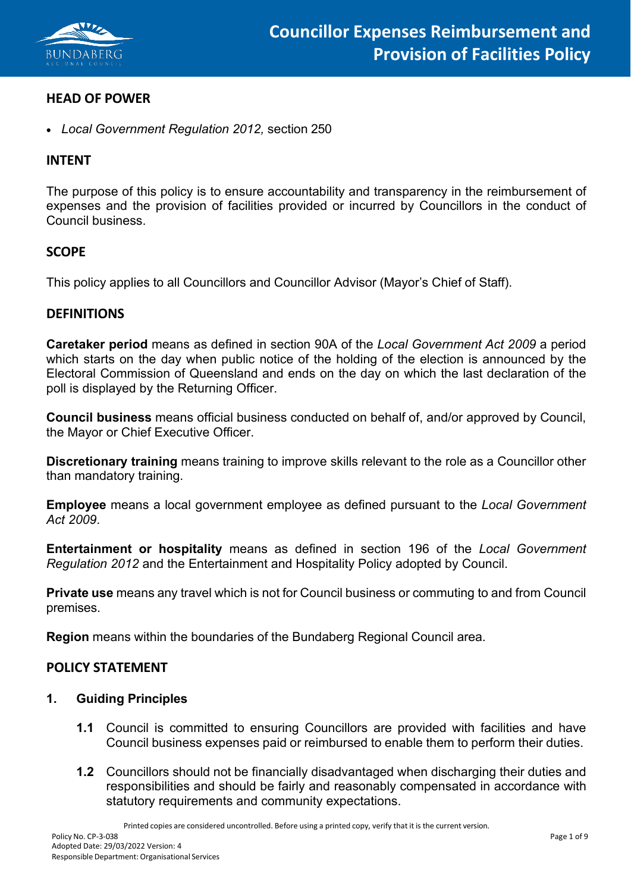

## **HEAD OF POWER**

• *Local Government Regulation 2012,* section 250

### **INTENT**

The purpose of this policy is to ensure accountability and transparency in the reimbursement of expenses and the provision of facilities provided or incurred by Councillors in the conduct of Council business.

## **SCOPE**

This policy applies to all Councillors and Councillor Advisor (Mayor's Chief of Staff).

### **DEFINITIONS**

**Caretaker period** means as defined in section 90A of the *Local Government Act 2009* a period which starts on the day when public notice of the holding of the election is announced by the Electoral Commission of Queensland and ends on the day on which the last declaration of the poll is displayed by the Returning Officer.

**Council business** means official business conducted on behalf of, and/or approved by Council, the Mayor or Chief Executive Officer.

**Discretionary training** means training to improve skills relevant to the role as a Councillor other than mandatory training.

**Employee** means a local government employee as defined pursuant to the *Local Government Act 2009*.

**Entertainment or hospitality** means as defined in section 196 of the *Local Government Regulation 2012* and the Entertainment and Hospitality Policy adopted by Council.

**Private use** means any travel which is not for Council business or commuting to and from Council premises.

**Region** means within the boundaries of the Bundaberg Regional Council area.

## **POLICY STATEMENT**

#### **1. Guiding Principles**

- **1.1** Council is committed to ensuring Councillors are provided with facilities and have Council business expenses paid or reimbursed to enable them to perform their duties.
- **1.2** Councillors should not be financially disadvantaged when discharging their duties and responsibilities and should be fairly and reasonably compensated in accordance with statutory requirements and community expectations.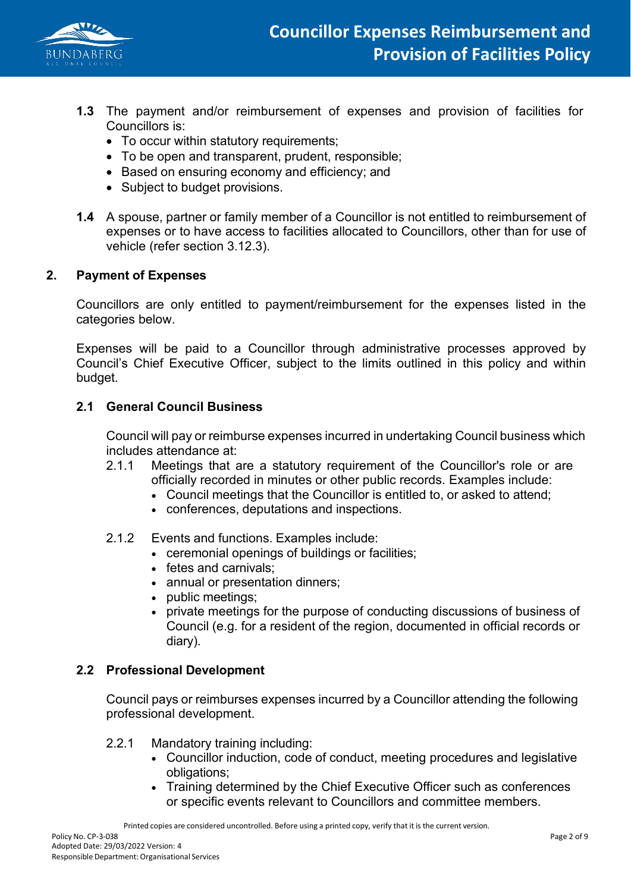

- **1.3** The payment and/or reimbursement of expenses and provision of facilities for Councillors is:
	- To occur within statutory requirements;
	- To be open and transparent, prudent, responsible;
	- Based on ensuring economy and efficiency; and
	- Subject to budget provisions.
- **1.4** A spouse, partner or family member of a Councillor is not entitled to reimbursement of expenses or to have access to facilities allocated to Councillors, other than for use of vehicle (refer section 3.12.3).

### **2. Payment of Expenses**

Councillors are only entitled to payment/reimbursement for the expenses listed in the categories below.

Expenses will be paid to a Councillor through administrative processes approved by Council's Chief Executive Officer, subject to the limits outlined in this policy and within budget.

## **2.1 General Council Business**

Council will pay or reimburse expenses incurred in undertaking Council business which includes attendance at:

- 2.1.1 Meetings that are a statutory requirement of the Councillor's role or are officially recorded in minutes or other public records. Examples include:
	- Council meetings that the Councillor is entitled to, or asked to attend;
	- conferences, deputations and inspections.

#### 2.1.2 Events and functions. Examples include:

- ceremonial openings of buildings or facilities;
- fetes and carnivals;
- annual or presentation dinners;
- public meetings;
- private meetings for the purpose of conducting discussions of business of Council (e.g. for a resident of the region, documented in official records or diary).

## **2.2 Professional Development**

Council pays or reimburses expenses incurred by a Councillor attending the following professional development.

- 2.2.1 Mandatory training including:
	- Councillor induction, code of conduct, meeting procedures and legislative obligations;
	- Training determined by the Chief Executive Officer such as conferences or specific events relevant to Councillors and committee members.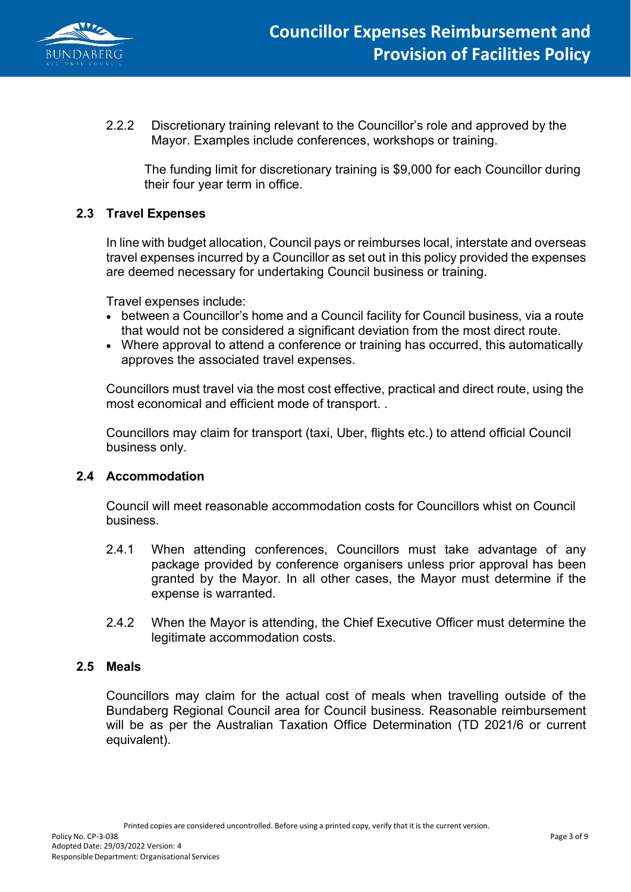

2.2.2 Discretionary training relevant to the Councillor's role and approved by the Mayor. Examples include conferences, workshops or training.

The funding limit for discretionary training is \$9,000 for each Councillor during their four year term in office.

## **2.3 Travel Expenses**

In line with budget allocation, Council pays or reimburses local, interstate and overseas travel expenses incurred by a Councillor as set out in this policy provided the expenses are deemed necessary for undertaking Council business or training.

Travel expenses include:

- between a Councillor's home and a Council facility for Council business, via a route that would not be considered a significant deviation from the most direct route.
- Where approval to attend a conference or training has occurred, this automatically approves the associated travel expenses.

Councillors must travel via the most cost effective, practical and direct route, using the most economical and efficient mode of transport. .

Councillors may claim for transport (taxi, Uber, flights etc.) to attend official Council business only.

## **2.4 Accommodation**

Council will meet reasonable accommodation costs for Councillors whist on Council business.

- 2.4.1 When attending conferences, Councillors must take advantage of any package provided by conference organisers unless prior approval has been granted by the Mayor. In all other cases, the Mayor must determine if the expense is warranted.
- 2.4.2 When the Mayor is attending, the Chief Executive Officer must determine the legitimate accommodation costs.

#### **2.5 Meals**

Councillors may claim for the actual cost of meals when travelling outside of the Bundaberg Regional Council area for Council business. Reasonable reimbursement will be as per the Australian Taxation Office Determination (TD 2021/6 or current equivalent).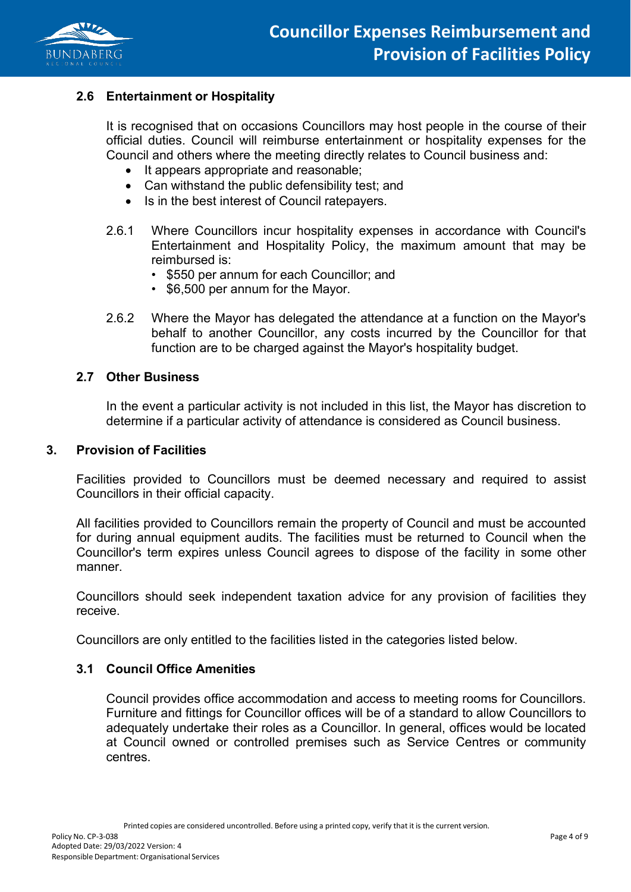

## **2.6 Entertainment or Hospitality**

It is recognised that on occasions Councillors may host people in the course of their official duties. Council will reimburse entertainment or hospitality expenses for the Council and others where the meeting directly relates to Council business and:

- It appears appropriate and reasonable;
- Can withstand the public defensibility test; and
- Is in the best interest of Council ratepayers.
- 2.6.1 Where Councillors incur hospitality expenses in accordance with Council's Entertainment and Hospitality Policy, the maximum amount that may be reimbursed is:
	- \$550 per annum for each Councillor; and
	- \$6,500 per annum for the Mayor.
- 2.6.2 Where the Mayor has delegated the attendance at a function on the Mayor's behalf to another Councillor, any costs incurred by the Councillor for that function are to be charged against the Mayor's hospitality budget.

### **2.7 Other Business**

In the event a particular activity is not included in this list, the Mayor has discretion to determine if a particular activity of attendance is considered as Council business.

#### **3. Provision of Facilities**

Facilities provided to Councillors must be deemed necessary and required to assist Councillors in their official capacity.

All facilities provided to Councillors remain the property of Council and must be accounted for during annual equipment audits. The facilities must be returned to Council when the Councillor's term expires unless Council agrees to dispose of the facility in some other manner.

Councillors should seek independent taxation advice for any provision of facilities they receive.

Councillors are only entitled to the facilities listed in the categories listed below.

#### **3.1 Council Office Amenities**

Council provides office accommodation and access to meeting rooms for Councillors. Furniture and fittings for Councillor offices will be of a standard to allow Councillors to adequately undertake their roles as a Councillor. In general, offices would be located at Council owned or controlled premises such as Service Centres or community centres.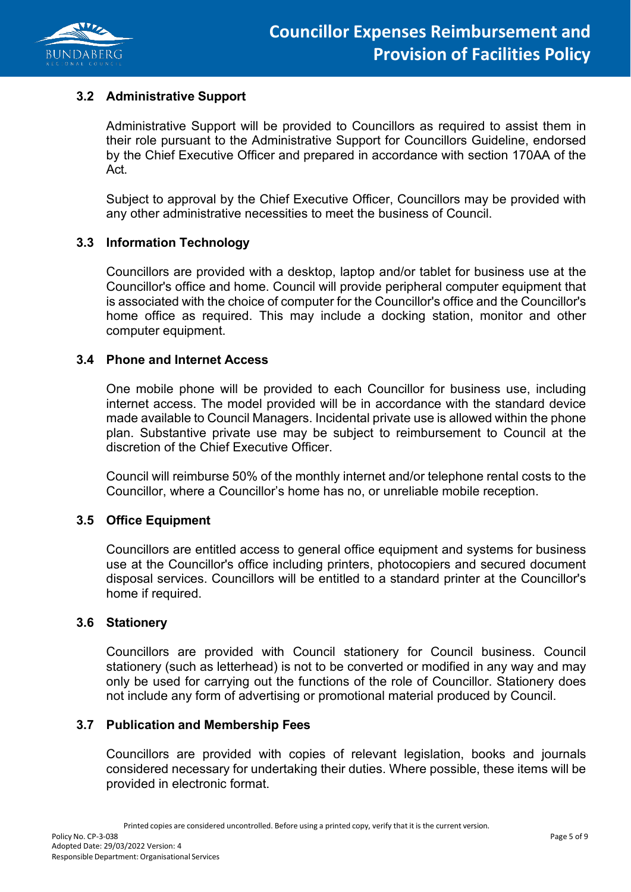

## **3.2 Administrative Support**

Administrative Support will be provided to Councillors as required to assist them in their role pursuant to the Administrative Support for Councillors Guideline, endorsed by the Chief Executive Officer and prepared in accordance with section 170AA of the Act.

Subject to approval by the Chief Executive Officer, Councillors may be provided with any other administrative necessities to meet the business of Council.

### **3.3 Information Technology**

Councillors are provided with a desktop, laptop and/or tablet for business use at the Councillor's office and home. Council will provide peripheral computer equipment that is associated with the choice of computer for the Councillor's office and the Councillor's home office as required. This may include a docking station, monitor and other computer equipment.

### **3.4 Phone and Internet Access**

One mobile phone will be provided to each Councillor for business use, including internet access. The model provided will be in accordance with the standard device made available to Council Managers. Incidental private use is allowed within the phone plan. Substantive private use may be subject to reimbursement to Council at the discretion of the Chief Executive Officer.

Council will reimburse 50% of the monthly internet and/or telephone rental costs to the Councillor, where a Councillor's home has no, or unreliable mobile reception.

#### **3.5 Office Equipment**

Councillors are entitled access to general office equipment and systems for business use at the Councillor's office including printers, photocopiers and secured document disposal services. Councillors will be entitled to a standard printer at the Councillor's home if required.

#### **3.6 Stationery**

Councillors are provided with Council stationery for Council business. Council stationery (such as letterhead) is not to be converted or modified in any way and may only be used for carrying out the functions of the role of Councillor. Stationery does not include any form of advertising or promotional material produced by Council.

#### **3.7 Publication and Membership Fees**

Councillors are provided with copies of relevant legislation, books and journals considered necessary for undertaking their duties. Where possible, these items will be provided in electronic format.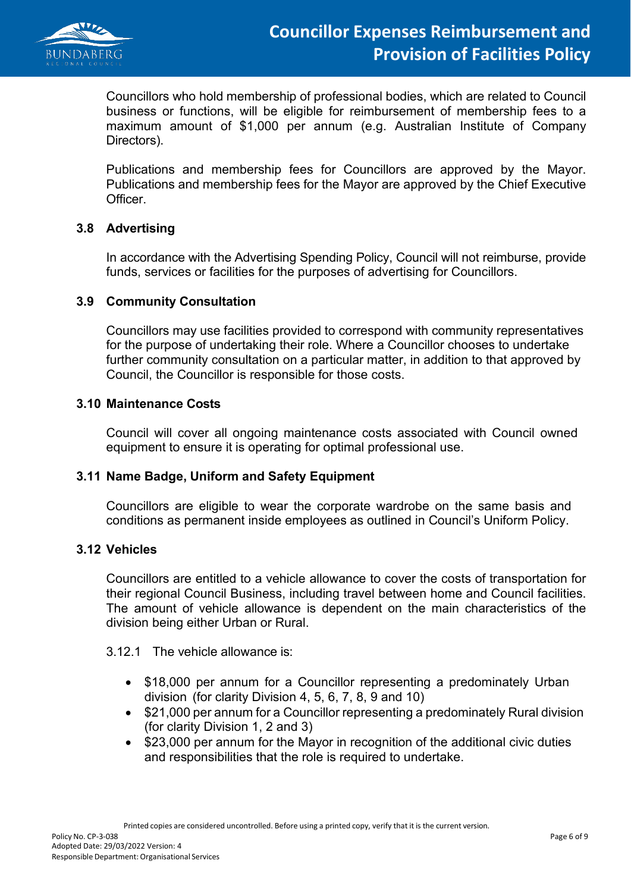

Councillors who hold membership of professional bodies, which are related to Council business or functions, will be eligible for reimbursement of membership fees to a maximum amount of \$1,000 per annum (e.g. Australian Institute of Company Directors).

Publications and membership fees for Councillors are approved by the Mayor. Publications and membership fees for the Mayor are approved by the Chief Executive Officer.

### **3.8 Advertising**

In accordance with the Advertising Spending Policy, Council will not reimburse, provide funds, services or facilities for the purposes of advertising for Councillors.

### **3.9 Community Consultation**

Councillors may use facilities provided to correspond with community representatives for the purpose of undertaking their role. Where a Councillor chooses to undertake further community consultation on a particular matter, in addition to that approved by Council, the Councillor is responsible for those costs.

### **3.10 Maintenance Costs**

Council will cover all ongoing maintenance costs associated with Council owned equipment to ensure it is operating for optimal professional use.

#### **3.11 Name Badge, Uniform and Safety Equipment**

Councillors are eligible to wear the corporate wardrobe on the same basis and conditions as permanent inside employees as outlined in Council's Uniform Policy.

#### **3.12 Vehicles**

Councillors are entitled to a vehicle allowance to cover the costs of transportation for their regional Council Business, including travel between home and Council facilities. The amount of vehicle allowance is dependent on the main characteristics of the division being either Urban or Rural.

3.12.1 The vehicle allowance is:

- \$18,000 per annum for a Councillor representing a predominately Urban division (for clarity Division 4, 5, 6, 7, 8, 9 and 10)
- \$21,000 per annum for a Councillor representing a predominately Rural division (for clarity Division 1, 2 and 3)
- \$23,000 per annum for the Mayor in recognition of the additional civic duties and responsibilities that the role is required to undertake.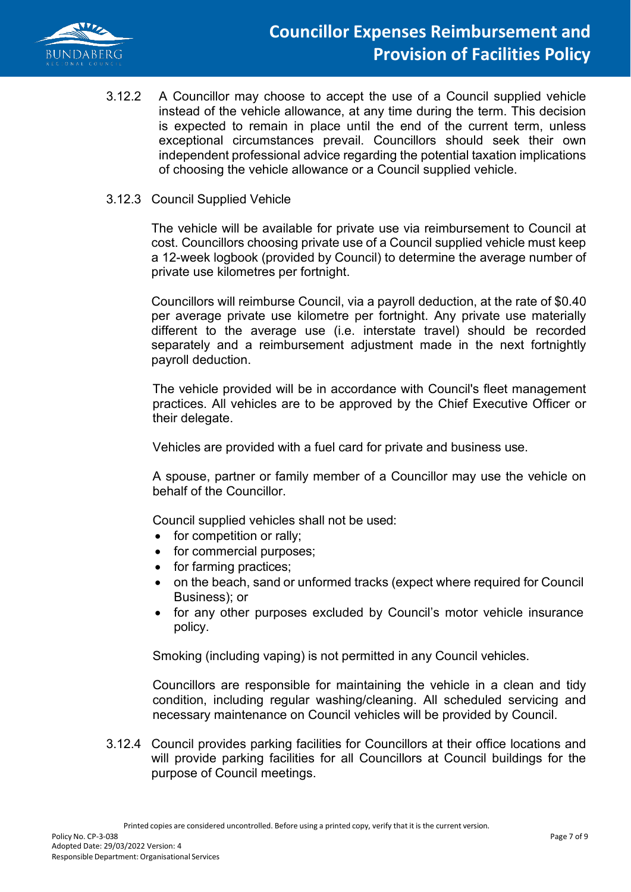

3.12.2 A Councillor may choose to accept the use of a Council supplied vehicle instead of the vehicle allowance, at any time during the term. This decision is expected to remain in place until the end of the current term, unless exceptional circumstances prevail. Councillors should seek their own independent professional advice regarding the potential taxation implications of choosing the vehicle allowance or a Council supplied vehicle.

#### 3.12.3 Council Supplied Vehicle

The vehicle will be available for private use via reimbursement to Council at cost. Councillors choosing private use of a Council supplied vehicle must keep a 12-week logbook (provided by Council) to determine the average number of private use kilometres per fortnight.

Councillors will reimburse Council, via a payroll deduction, at the rate of \$0.40 per average private use kilometre per fortnight. Any private use materially different to the average use (i.e. interstate travel) should be recorded separately and a reimbursement adjustment made in the next fortnightly payroll deduction.

The vehicle provided will be in accordance with Council's fleet management practices. All vehicles are to be approved by the Chief Executive Officer or their delegate.

Vehicles are provided with a fuel card for private and business use.

A spouse, partner or family member of a Councillor may use the vehicle on behalf of the Councillor.

Council supplied vehicles shall not be used:

- for competition or rally;
- for commercial purposes;
- for farming practices;
- on the beach, sand or unformed tracks (expect where required for Council Business); or
- for any other purposes excluded by Council's motor vehicle insurance policy.

Smoking (including vaping) is not permitted in any Council vehicles.

Councillors are responsible for maintaining the vehicle in a clean and tidy condition, including regular washing/cleaning. All scheduled servicing and necessary maintenance on Council vehicles will be provided by Council.

3.12.4 Council provides parking facilities for Councillors at their office locations and will provide parking facilities for all Councillors at Council buildings for the purpose of Council meetings.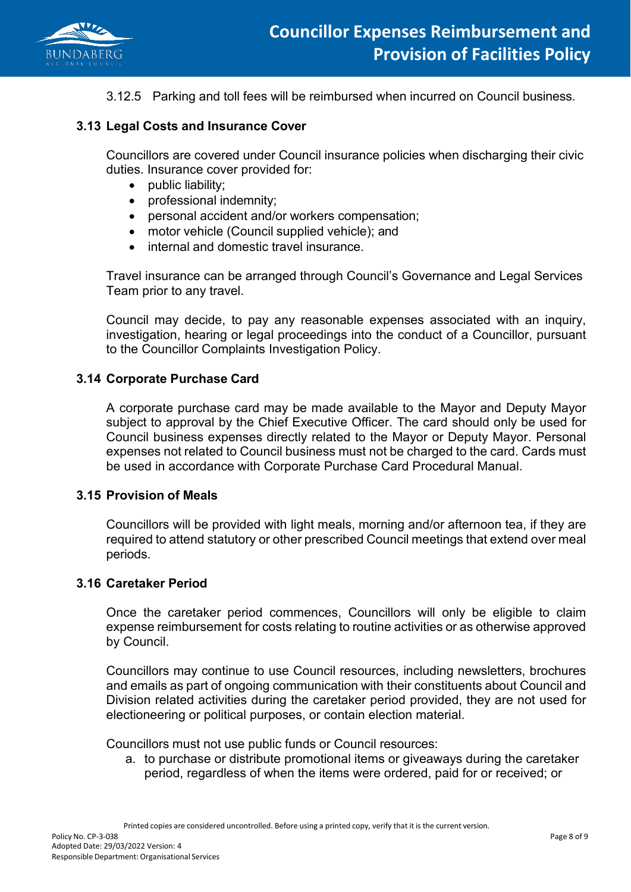

3.12.5 Parking and toll fees will be reimbursed when incurred on Council business.

### **3.13 Legal Costs and Insurance Cover**

Councillors are covered under Council insurance policies when discharging their civic duties. Insurance cover provided for:

- public liability;
- professional indemnity;
- personal accident and/or workers compensation;
- motor vehicle (Council supplied vehicle); and
- internal and domestic travel insurance.

Travel insurance can be arranged through Council's Governance and Legal Services Team prior to any travel.

Council may decide, to pay any reasonable expenses associated with an inquiry, investigation, hearing or legal proceedings into the conduct of a Councillor, pursuant to the Councillor Complaints Investigation Policy.

### **3.14 Corporate Purchase Card**

A corporate purchase card may be made available to the Mayor and Deputy Mayor subject to approval by the Chief Executive Officer. The card should only be used for Council business expenses directly related to the Mayor or Deputy Mayor. Personal expenses not related to Council business must not be charged to the card. Cards must be used in accordance with Corporate Purchase Card Procedural Manual.

#### **3.15 Provision of Meals**

Councillors will be provided with light meals, morning and/or afternoon tea, if they are required to attend statutory or other prescribed Council meetings that extend over meal periods.

#### **3.16 Caretaker Period**

Once the caretaker period commences, Councillors will only be eligible to claim expense reimbursement for costs relating to routine activities or as otherwise approved by Council.

Councillors may continue to use Council resources, including newsletters, brochures and emails as part of ongoing communication with their constituents about Council and Division related activities during the caretaker period provided, they are not used for electioneering or political purposes, or contain election material.

Councillors must not use public funds or Council resources:

a. to purchase or distribute promotional items or giveaways during the caretaker period, regardless of when the items were ordered, paid for or received; or